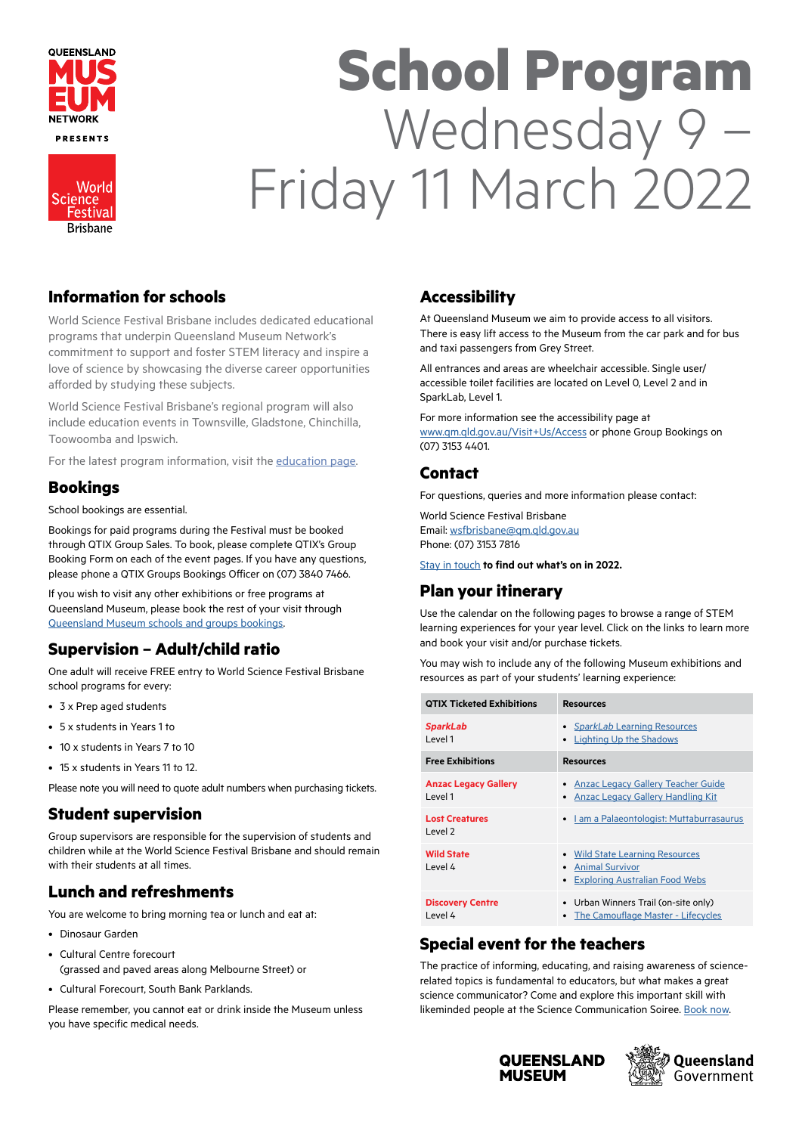

**Brisbane** 

# **School Program** Wednesday 9 – Friday 11 March 2022

#### **Information for schools**

World Science Festival Brisbane includes dedicated educational programs that underpin Queensland Museum Network's commitment to support and foster STEM literacy and inspire a love of science by showcasing the diverse career opportunities afforded by studying these subjects.

World Science Festival Brisbane's regional program will also include education events in Townsville, Gladstone, Chinchilla, Toowoomba and Ipswich.

For the latest program information, visit the [education page](https://www.worldsciencefestival.com.au/education-online).

#### **Bookings**

School bookings are essential.

Bookings for paid programs during the Festival must be booked through QTIX Group Sales. To book, please complete QTIX's Group Booking Form on each of the event pages. If you have any questions, please phone a QTIX Groups Bookings Officer on (07) 3840 7466.

If you wish to visit any other exhibitions or free programs at Queensland Museum, please book the rest of your visit through [Queensland Museum schools and groups bookings](https://www.qm.qld.gov.au/Visit%2BUs/Schools%2Band%2BGroups).

## **Supervision – Adult/child ratio**

One adult will receive FREE entry to World Science Festival Brisbane school programs for every:

- 3 x Prep aged students
- 5 x students in Years 1 to
- 10 x students in Years 7 to 10
- 15 x students in Years 11 to 12.

Please note you will need to quote adult numbers when purchasing tickets.

#### **Student supervision**

Group supervisors are responsible for the supervision of students and children while at the World Science Festival Brisbane and should remain with their students at all times.

## **Lunch and refreshments**

You are welcome to bring morning tea or lunch and eat at:

- Dinosaur Garden
- Cultural Centre forecourt
	- (grassed and paved areas along Melbourne Street) or
- Cultural Forecourt, South Bank Parklands.

Please remember, you cannot eat or drink inside the Museum unless you have specific medical needs.

## **Accessibility**

At Queensland Museum we aim to provide access to all visitors. There is easy lift access to the Museum from the car park and for bus and taxi passengers from Grey Street.

All entrances and areas are wheelchair accessible. Single user/ accessible toilet facilities are located on Level 0, Level 2 and in SparkLab, Level 1.

For more information see the accessibility page at [www.qm.qld.gov.au/Visit+Us/Access](http://www.qm.qld.gov.au/Visit+Us/Access) or phone Group Bookings on (07) 3153 4401.

#### **Contact**

For questions, queries and more information please contact:

World Science Festival Brisbane Email: [wsfbrisbane@qm.qld.gov.au](mailto:wsfbrisbane%40qm.qld.gov.au?subject=) Phone: (07) 3153 7816

[Stay in touch](http://www.worldsciencefestival.com.au/participate/join-mailing-list/) **to find out what's on in 2022.**

#### **Plan your itinerary**

Use the calendar on the following pages to browse a range of STEM learning experiences for your year level. Click on the links to learn more and book your visit and/or purchase tickets.

You may wish to include any of the following Museum exhibitions and resources as part of your students' learning experience:

| <b>QTIX Ticketed Exhibitions</b>        | <b>Resources</b>                                                                                             |
|-----------------------------------------|--------------------------------------------------------------------------------------------------------------|
| <b>SparkLab</b><br>I evel 1             | • SparkLab Learning Resources<br><b>Lighting Up the Shadows</b><br>$\bullet$                                 |
| <b>Free Exhibitions</b>                 | <b>Resources</b>                                                                                             |
| <b>Anzac Legacy Gallery</b><br>I evel 1 | <b>Anzac Legacy Gallery Teacher Guide</b><br><b>Anzac Legacy Gallery Handling Kit</b><br>٠                   |
| <b>Lost Creatures</b><br>level 2        | I am a Palaeontologist: Muttaburrasaurus<br>$\bullet$                                                        |
| <b>Wild State</b><br>I evel 4           | • Wild State Learning Resources<br><b>Animal Survivor</b><br>٠<br><b>Exploring Australian Food Webs</b><br>٠ |
| <b>Discovery Centre</b><br>I evel 4     | • Urban Winners Trail (on-site only)<br><b>The Camouflage Master - Lifecycles</b><br>٠                       |

## **Special event for the teachers**

The practice of informing, educating, and raising awareness of sciencerelated topics is fundamental to educators, but what makes a great science communicator? Come and explore this important skill with likeminded people at the Science Communication Soiree. [Book now](https://www.worldsciencefestival.com.au/event-program/brisbane/science-communication-soiree).



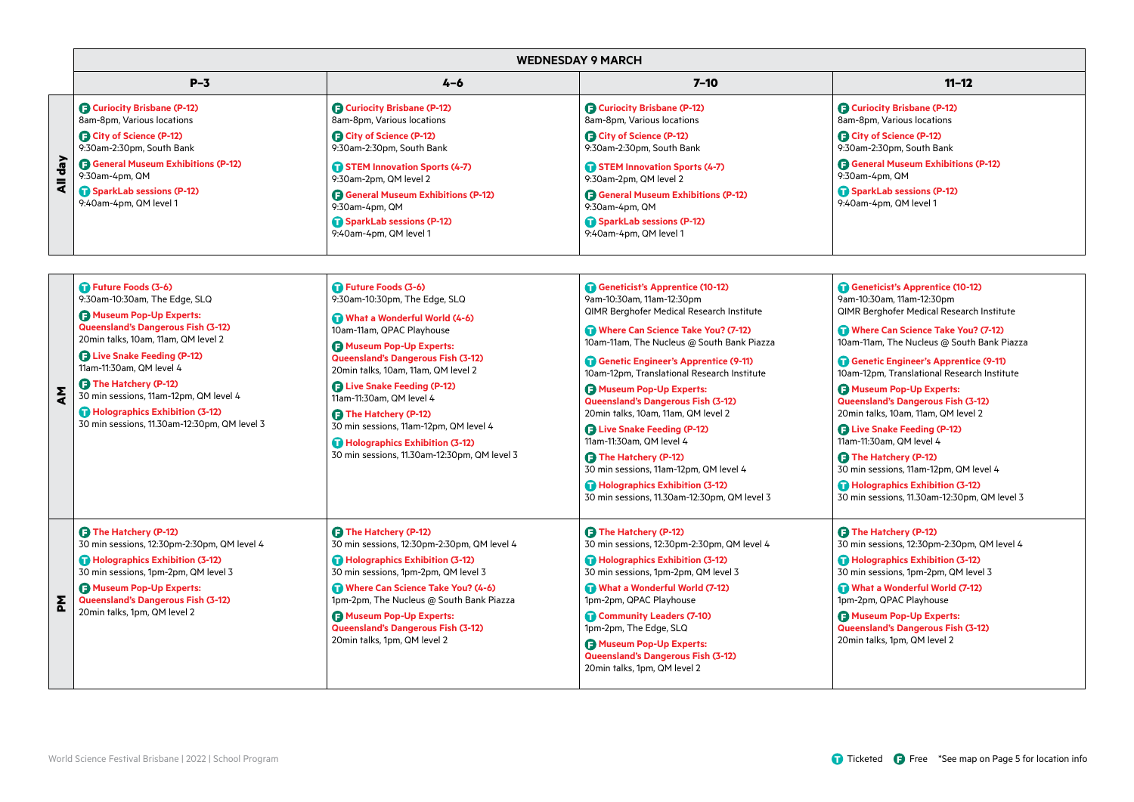|   |                                    |                                                    | <b>WEDNESDAY 9 MARCH</b>                           |                                            |
|---|------------------------------------|----------------------------------------------------|----------------------------------------------------|--------------------------------------------|
|   | $P-3$                              | $4 - 6$                                            | $7 - 10$                                           | $11 - 12$                                  |
|   | <b>B</b> Curiocity Brisbane (P-12) | Curiocity Brisbane (P-12)                          | <b>B</b> Curiocity Brisbane (P-12)                 | Curiocity Brisbane (P-12)                  |
|   | 8am-8pm, Various locations         | 8am-8pm, Various locations                         | 8am-8pm, Various locations                         | 8am-8pm, Various locations                 |
|   | <b>B</b> City of Science (P-12)    | City of Science (P-12)                             | <b>B</b> City of Science (P-12)                    | City of Science (P-12)                     |
|   | 9:30am-2:30pm, South Bank          | 9:30am-2:30pm, South Bank                          | 9:30am-2:30pm, South Bank                          | 9:30am-2:30pm, South Bank                  |
| 흚 | General Museum Exhibitions (P-12)  | STEM Innovation Sports (4-7)                       | STEM Innovation Sports (4-7)                       | <b>B</b> General Museum Exhibitions (P-12) |
| = | 9:30am-4pm, QM                     | 9:30am-2pm, QM level 2                             | 9:30am-2pm, QM level 2                             | 9:30am-4pm, QM                             |
|   | SparkLab sessions (P-12)           | <b>B</b> General Museum Exhibitions (P-12)         | <b>B</b> General Museum Exhibitions (P-12)         | SparkLab sessions (P-12)                   |
|   | 9:40am-4pm, QM level 1             | 9:30am-4pm, QM                                     | 9:30am-4pm, QM                                     | 9:40am-4pm, QM level 1                     |
|   |                                    | SparkLab sessions (P-12)<br>9:40am-4pm, QM level 1 | SparkLab sessions (P-12)<br>9:40am-4pm, QM level 1 |                                            |
|   |                                    |                                                    |                                                    |                                            |

|  | Future Foods (3-6)<br>Future Foods (3-6)<br>9:30am-10:30am, The Edge, SLQ<br>9:30am-10:30pm, The Edge, SLQ<br>Museum Pop-Up Experts:<br>What a Wonderful World (4-6) |                                                                                                | Geneticist's Apprentice (10-12)<br>9am-10:30am, 11am-12:30pm<br>QIMR Berghofer Medical Research Institute | Geneticist's Apprentice (10-12)<br>9am-10:30am, 11am-12:30pm<br>QIMR Berghofer Medical Research Institute |
|--|----------------------------------------------------------------------------------------------------------------------------------------------------------------------|------------------------------------------------------------------------------------------------|-----------------------------------------------------------------------------------------------------------|-----------------------------------------------------------------------------------------------------------|
|  | <b>Queensland's Dangerous Fish (3-12)</b><br>20min talks, 10am, 11am, QM level 2<br><b>B</b> Live Snake Feeding (P-12)<br>11am-11:30am, QM level 4                   | 10am-11am, QPAC Playhouse<br>Museum Pop-Up Experts:                                            | Where Can Science Take You? (7-12)<br>10am-11am, The Nucleus @ South Bank Piazza                          | Where Can Science Take You? (7-12)<br>10am-11am, The Nucleus @ South Bank Piazza                          |
|  |                                                                                                                                                                      | Queensland's Dangerous Fish (3-12)<br>20min talks, 10am, 11am, QM level 2                      | Genetic Engineer's Apprentice (9-11)<br>10am-12pm, Translational Research Institute                       | Genetic Engineer's Apprentice (9-11)<br>10am-12pm, Translational Research Institute                       |
|  | <b>B</b> The Hatchery (P-12)<br>30 min sessions, 11am-12pm, QM level 4<br>Holographics Exhibition (3-12)                                                             | <b>B</b> Live Snake Feeding (P-12)<br>11am-11:30am, QM level 4<br><b>D</b> The Hatchery (P-12) | Museum Pop-Up Experts:<br>Queensland's Dangerous Fish (3-12)<br>20min talks, 10am, 11am, QM level 2       | Museum Pop-Up Experts:<br>Queensland's Dangerous Fish (3-12)<br>20min talks, 10am, 11am, QM level 2       |
|  | 30 min sessions, 11.30am-12:30pm, QM level 3                                                                                                                         | 30 min sessions, 11am-12pm, QM level 4<br>Holographics Exhibition (3-12)                       | <b>B</b> Live Snake Feeding (P-12)<br>11am-11:30am, QM level 4                                            | <b>B</b> Live Snake Feeding (P-12)<br>11am-11:30am. QM level 4                                            |
|  |                                                                                                                                                                      | 30 min sessions, 11.30am-12:30pm, QM level 3                                                   | <b>B</b> The Hatchery (P-12)<br>30 min sessions, 11am-12pm, QM level 4                                    | <b>B</b> The Hatchery (P-12)<br>30 min sessions, 11am-12pm, QM level 4                                    |
|  |                                                                                                                                                                      |                                                                                                | Holographics Exhibition (3-12)<br>30 min sessions, 11.30am-12:30pm, QM level 3                            | Holographics Exhibition (3-12)<br>30 min sessions, 11.30am-12:30pm, QM level 3                            |
|  | <b>D</b> The Hatchery (P-12)<br>30 min sessions, 12:30pm-2:30pm, QM level 4                                                                                          | <b>D</b> The Hatchery (P-12)<br>30 min sessions, 12:30pm-2:30pm, QM level 4                    | <b>D</b> The Hatchery (P-12)<br>30 min sessions, 12:30pm-2:30pm, QM level 4                               | <b>B</b> The Hatchery (P-12)<br>30 min sessions, 12:30pm-2:30pm, QM level 4                               |
|  | Holographics Exhibition (3-12)<br>30 min sessions, 1pm-2pm, QM level 3                                                                                               | Holographics Exhibition (3-12)<br>30 min sessions, 1pm-2pm, QM level 3                         | Holographics Exhibition (3-12)<br>30 min sessions, 1pm-2pm, QM level 3                                    | Holographics Exhibition (3-12)<br>30 min sessions, 1pm-2pm, QM level 3                                    |
|  | Museum Pop-Up Experts:<br>Queensland's Dangerous Fish (3-12)                                                                                                         | Where Can Science Take You? (4-6)<br>1pm-2pm, The Nucleus @ South Bank Piazza                  | What a Wonderful World (7-12)<br>1pm-2pm, QPAC Playhouse                                                  | What a Wonderful World (7-12)<br>1pm-2pm, QPAC Playhouse                                                  |
|  | 20min talks, 1pm, QM level 2                                                                                                                                         | <b>B</b> Museum Pop-Up Experts:<br>Queensland's Dangerous Fish (3-12)                          | Community Leaders (7-10)<br>1pm-2pm, The Edge, SLQ                                                        | <b>A</b> Museum Pop-Up Experts:<br>Queensland's Dangerous Fish (3-12)                                     |
|  |                                                                                                                                                                      | 20min talks, 1pm, QM level 2                                                                   | <b>B</b> Museum Pop-Up Experts:<br>Queensland's Dangerous Fish (3-12)<br>20min talks, 1pm, QM level 2     | 20min talks, 1pm, QM level 2                                                                              |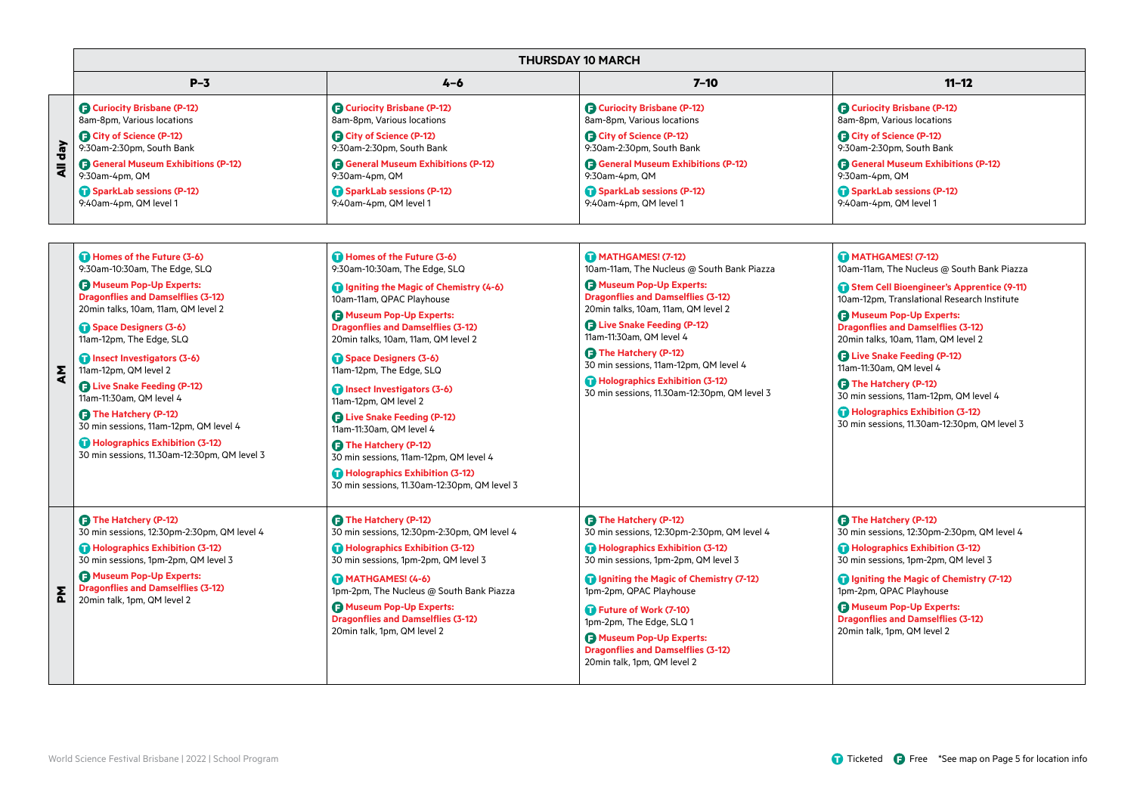|             | <b>THURSDAY 10 MARCH</b>                                         |                                                                  |                                                              |                                                              |
|-------------|------------------------------------------------------------------|------------------------------------------------------------------|--------------------------------------------------------------|--------------------------------------------------------------|
|             | $P-3$                                                            | $4 - 6$                                                          | 7–10                                                         | $11 - 12$                                                    |
| $\sqrt{ep}$ | <b>B</b> Curiocity Brisbane (P-12)<br>8am-8pm, Various locations | <b>B</b> Curiocity Brisbane (P-12)<br>8am-8pm, Various locations | Curiocity Brisbane (P-12)<br>8am-8pm, Various locations      | Curiocity Brisbane (P-12)<br>8am-8pm, Various locations      |
|             | <b>B</b> City of Science (P-12)<br>9:30am-2:30pm, South Bank     | City of Science (P-12)<br>9:30am-2:30pm, South Bank              | City of Science (P-12)<br>9:30am-2:30pm, South Bank          | City of Science (P-12)<br>9:30am-2:30pm, South Bank          |
| ₹           | <b>B</b> General Museum Exhibitions (P-12)<br>9:30am-4pm, QM     | <b>B</b> General Museum Exhibitions (P-12)<br>9:30am-4pm, QM     | <b>B</b> General Museum Exhibitions (P-12)<br>9:30am-4pm, QM | <b>B</b> General Museum Exhibitions (P-12)<br>9:30am-4pm, QM |
|             | SparkLab sessions (P-12)<br>9:40am-4pm, QM level 1               | SparkLab sessions (P-12)<br>9:40am-4pm, QM level 1               | SparkLab sessions (P-12)<br>9:40am-4pm, QM level 1           | SparkLab sessions (P-12)<br>9:40am-4pm, QM level 1           |

| ξ | Homes of the Future (3-6)<br>9:30am-10:30am, The Edge, SLQ                               | Homes of the Future (3-6)<br>9:30am-10:30am, The Edge, SLQ                                                  | MATHGAMES! (7-12)<br>10am-11am, The Nucleus @ South Bank Piazza                                                                                                  | MATHGAMES! (7-12)<br>10am-11am, The Nucleus @ South Bank Piazza                                                     |
|---|------------------------------------------------------------------------------------------|-------------------------------------------------------------------------------------------------------------|------------------------------------------------------------------------------------------------------------------------------------------------------------------|---------------------------------------------------------------------------------------------------------------------|
|   | <b>B</b> Museum Pop-Up Experts:<br><b>Dragonflies and Damselflies (3-12)</b>             | Igniting the Magic of Chemistry (4-6)<br>10am-11am, QPAC Playhouse                                          | Museum Pop-Up Experts:<br><b>Dragonflies and Damselflies (3-12)</b>                                                                                              | Stem Cell Bioengineer's Apprentice (9-11)<br>10am-12pm, Translational Research Institute                            |
|   | 20min talks, 10am, 11am, QM level 2<br>Space Designers (3-6)<br>11am-12pm, The Edge, SLQ | Museum Pop-Up Experts:<br><b>Dragonflies and Damselflies (3-12)</b><br>20min talks, 10am, 11am, QM level 2  | 20min talks, 10am, 11am, QM level 2<br><b>B</b> Live Snake Feeding (P-12)<br>11am-11:30am. QM level 4                                                            | <b>A</b> Museum Pop-Up Experts:<br><b>Dragonflies and Damselflies (3-12)</b><br>20min talks, 10am, 11am, QM level 2 |
|   | Insect Investigators (3-6)<br>11am-12pm, QM level 2                                      | Space Designers (3-6)<br>11am-12pm, The Edge, SLQ                                                           | <b>B</b> The Hatchery (P-12)<br>30 min sessions, 11am-12pm, QM level 4                                                                                           | <b>B</b> Live Snake Feeding (P-12)<br>11am-11:30am. QM level 4                                                      |
|   | <b>D</b> Live Snake Feeding (P-12)<br>11am-11:30am, QM level 4                           | Insect Investigators (3-6)<br>11am-12pm, QM level 2                                                         | Holographics Exhibition (3-12)<br>30 min sessions, 11.30am-12:30pm, QM level 3                                                                                   | <b>B</b> The Hatchery (P-12)<br>30 min sessions, 11am-12pm, QM level 4                                              |
|   | <b>D</b> The Hatchery (P-12)<br>30 min sessions, 11am-12pm, QM level 4                   | <b>B</b> Live Snake Feeding (P-12)<br>11am-11:30am, QM level 4                                              |                                                                                                                                                                  | Holographics Exhibition (3-12)<br>30 min sessions, 11.30am-12:30pm, QM level 3                                      |
|   | Holographics Exhibition (3-12)<br>30 min sessions, 11.30am-12:30pm, QM level 3           | <b>B</b> The Hatchery (P-12)<br>30 min sessions, 11am-12pm, QM level 4                                      |                                                                                                                                                                  |                                                                                                                     |
|   |                                                                                          | Holographics Exhibition (3-12)<br>30 min sessions, 11.30am-12:30pm, QM level 3                              |                                                                                                                                                                  |                                                                                                                     |
|   | <b>B</b> The Hatchery (P-12)<br>30 min sessions, 12:30pm-2:30pm, QM level 4              | <b>3 The Hatchery (P-12)</b><br>30 min sessions, 12:30pm-2:30pm, QM level 4                                 | <b>B</b> The Hatchery (P-12)<br>30 min sessions, 12:30pm-2:30pm, QM level 4                                                                                      | <b>B</b> The Hatchery (P-12)<br>30 min sessions, 12:30pm-2:30pm, QM level 4                                         |
|   | Holographics Exhibition (3-12)<br>30 min sessions, 1pm-2pm, QM level 3                   | Holographics Exhibition (3-12)<br>30 min sessions, 1pm-2pm, QM level 3                                      | Holographics Exhibition (3-12)<br>30 min sessions, 1pm-2pm, QM level 3                                                                                           | Holographics Exhibition (3-12)<br>30 min sessions, 1pm-2pm, QM level 3                                              |
| 짇 | <b>B</b> Museum Pop-Up Experts:<br><b>Dragonflies and Damselflies (3-12)</b>             | MATHGAMES! (4-6)<br>1pm-2pm, The Nucleus @ South Bank Piazza                                                | <b>n</b> Igniting the Magic of Chemistry (7-12)<br>1pm-2pm, QPAC Playhouse                                                                                       | Igniting the Magic of Chemistry (7-12)<br>1pm-2pm, QPAC Playhouse                                                   |
|   | 20min talk, 1pm, QM level 2                                                              | <b>A</b> Museum Pop-Up Experts:<br><b>Dragonflies and Damselflies (3-12)</b><br>20min talk, 1pm, QM level 2 | Future of Work (7-10)<br>1pm-2pm, The Edge, SLQ 1<br><b>A</b> Museum Pop-Up Experts:<br><b>Dragonflies and Damselflies (3-12)</b><br>20min talk, 1pm, QM level 2 | <b>B</b> Museum Pop-Up Experts:<br><b>Dragonflies and Damselflies (3-12)</b><br>20min talk, 1pm, QM level 2         |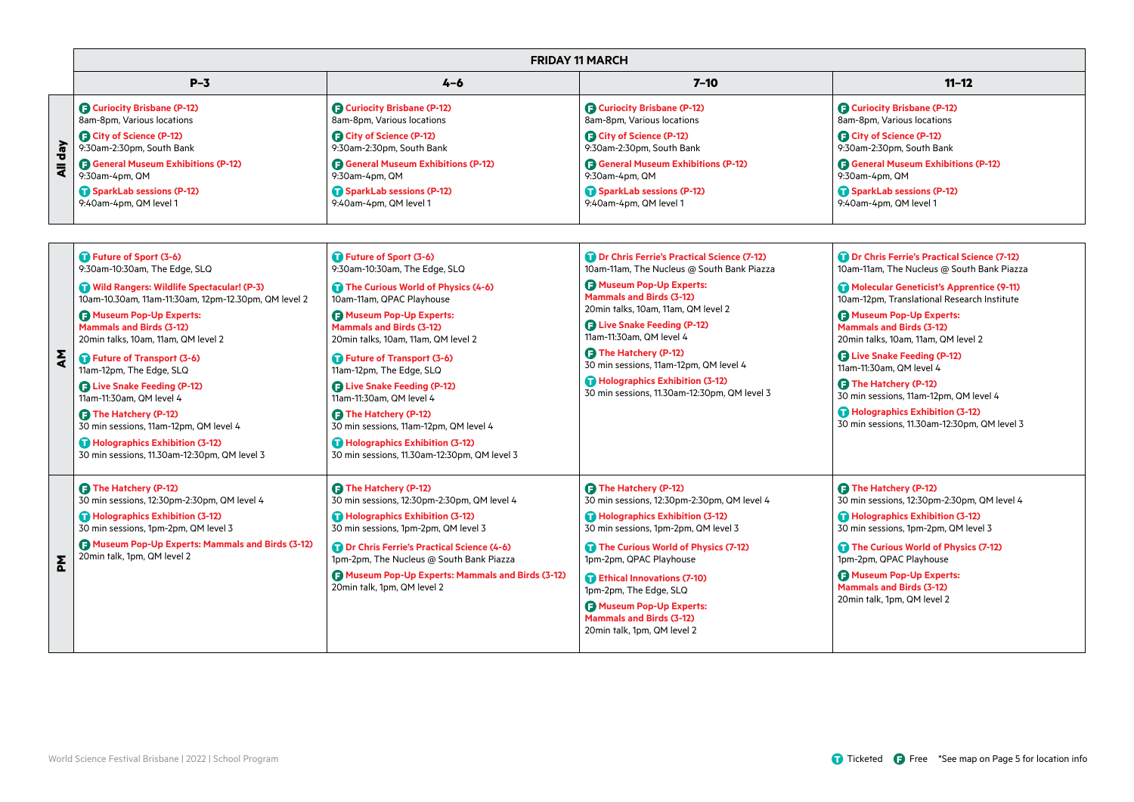|                                 | <b>FRIDAY 11 MARCH</b>                                           |                                                              |                                                              |                                                                  |
|---------------------------------|------------------------------------------------------------------|--------------------------------------------------------------|--------------------------------------------------------------|------------------------------------------------------------------|
|                                 | $P-3$                                                            | 4-6                                                          | 7–10                                                         | $11 - 12$                                                        |
| $\frac{1}{6}$<br>$\overline{a}$ | <b>B</b> Curiocity Brisbane (P-12)<br>8am-8pm, Various locations | Curiocity Brisbane (P-12)<br>8am-8pm, Various locations      | Curiocity Brisbane (P-12)<br>8am-8pm, Various locations      | <b>B</b> Curiocity Brisbane (P-12)<br>8am-8pm, Various locations |
|                                 | <b>B</b> City of Science (P-12)<br>9:30am-2:30pm, South Bank     | City of Science (P-12)<br>9:30am-2:30pm, South Bank          | City of Science (P-12)<br>9:30am-2:30pm, South Bank          | City of Science (P-12)<br>9:30am-2:30pm, South Bank              |
|                                 | <b>B</b> General Museum Exhibitions (P-12)<br>9:30am-4pm, QM     | <b>B</b> General Museum Exhibitions (P-12)<br>9:30am-4pm, QM | <b>B</b> General Museum Exhibitions (P-12)<br>9:30am-4pm, QM | <b>B</b> General Museum Exhibitions (P-12)<br>9:30am-4pm, QM     |
|                                 | SparkLab sessions (P-12)<br>9:40am-4pm, QM level 1               | SparkLab sessions (P-12)<br>9:40am-4pm, QM level 1           | SparkLab sessions (P-12)<br>9:40am-4pm, QM level 1           | SparkLab sessions (P-12)<br>9:40am-4pm, QM level 1               |

| ξ | Future of Sport (3-6)<br>9:30am-10:30am, The Edge, SLQ<br>Wild Rangers: Wildlife Spectacular! (P-3)<br>10am-10.30am, 11am-11:30am, 12pm-12.30pm, QM level 2<br><b>A</b> Museum Pop-Up Experts:<br><b>Mammals and Birds (3-12)</b><br>20min talks, 10am, 11am, QM level 2<br>Future of Transport (3-6)<br>11am-12pm, The Edge, SLQ<br><b>B</b> Live Snake Feeding (P-12)<br>11am-11:30am, QM level 4<br><b>D</b> The Hatchery (P-12)<br>30 min sessions, 11am-12pm, QM level 4<br>Holographics Exhibition (3-12)<br>30 min sessions, 11.30am-12:30pm, QM level 3 | Future of Sport (3-6)<br>9:30am-10:30am, The Edge, SLQ<br>The Curious World of Physics (4-6)<br>10am-11am, QPAC Playhouse<br><b>B</b> Museum Pop-Up Experts:<br><b>Mammals and Birds (3-12)</b><br>20min talks, 10am, 11am, QM level 2<br>Future of Transport (3-6)<br>11am-12pm, The Edge, SLQ<br><b>B</b> Live Snake Feeding (P-12)<br>11am-11:30am. QM level 4<br><b>B</b> The Hatchery (P-12)<br>30 min sessions, 11am-12pm, QM level 4<br>Holographics Exhibition (3-12)<br>30 min sessions, 11.30am-12:30pm, QM level 3 | <b>Dr Chris Ferrie's Practical Science (7-12)</b><br>10am-11am, The Nucleus @ South Bank Piazza<br><b>A</b> Museum Pop-Up Experts:<br><b>Mammals and Birds (3-12)</b><br>20min talks, 10am, 11am, QM level 2<br><b>B</b> Live Snake Feeding (P-12)<br>11am-11:30am. QM level 4<br><b>B</b> The Hatchery (P-12)<br>30 min sessions, 11am-12pm, QM level 4<br>Holographics Exhibition (3-12)<br>30 min sessions, 11.30am-12:30pm, QM level 3 | Dr Chris Ferrie's Practical Science (7-12)<br>10am-11am, The Nucleus @ South Bank Piazza<br>Molecular Geneticist's Apprentice (9-11)<br>10am-12pm, Translational Research Institute<br>Museum Pop-Up Experts:<br><b>Mammals and Birds (3-12)</b><br>20min talks, 10am, 11am, QM level 2<br><b>B</b> Live Snake Feeding (P-12)<br>11am-11:30am, QM level 4<br><b>B</b> The Hatchery (P-12)<br>30 min sessions, 11am-12pm, QM level 4<br>Holographics Exhibition (3-12)<br>30 min sessions, 11.30am-12:30pm, QM level 3 |
|---|-----------------------------------------------------------------------------------------------------------------------------------------------------------------------------------------------------------------------------------------------------------------------------------------------------------------------------------------------------------------------------------------------------------------------------------------------------------------------------------------------------------------------------------------------------------------|-------------------------------------------------------------------------------------------------------------------------------------------------------------------------------------------------------------------------------------------------------------------------------------------------------------------------------------------------------------------------------------------------------------------------------------------------------------------------------------------------------------------------------|--------------------------------------------------------------------------------------------------------------------------------------------------------------------------------------------------------------------------------------------------------------------------------------------------------------------------------------------------------------------------------------------------------------------------------------------|-----------------------------------------------------------------------------------------------------------------------------------------------------------------------------------------------------------------------------------------------------------------------------------------------------------------------------------------------------------------------------------------------------------------------------------------------------------------------------------------------------------------------|
| 좂 | <b>3 The Hatchery (P-12)</b><br>30 min sessions, 12:30pm-2:30pm, QM level 4<br>Holographics Exhibition (3-12)<br>30 min sessions, 1pm-2pm, QM level 3<br>Museum Pop-Up Experts: Mammals and Birds (3-12)<br>20min talk, 1pm, QM level 2                                                                                                                                                                                                                                                                                                                         | <b>B</b> The Hatchery (P-12)<br>30 min sessions, 12:30pm-2:30pm, QM level 4<br>Holographics Exhibition (3-12)<br>30 min sessions, 1pm-2pm, QM level 3<br>Dr Chris Ferrie's Practical Science (4-6)<br>1pm-2pm, The Nucleus @ South Bank Piazza<br><b>B</b> Museum Pop-Up Experts: Mammals and Birds (3-12)<br>20min talk, 1pm, QM level 2                                                                                                                                                                                     | <b>B</b> The Hatchery (P-12)<br>30 min sessions, 12:30pm-2:30pm, QM level 4<br>Holographics Exhibition (3-12)<br>30 min sessions, 1pm-2pm, QM level 3<br>The Curious World of Physics (7-12)<br>1pm-2pm, QPAC Playhouse<br><b>Ethical Innovations (7-10)</b><br>1pm-2pm, The Edge, SLQ<br><b>A</b> Museum Pop-Up Experts:<br><b>Mammals and Birds (3-12)</b><br>20min talk, 1pm, QM level 2                                                | <b>D</b> The Hatchery (P-12)<br>30 min sessions, 12:30pm-2:30pm, QM level 4<br>Holographics Exhibition (3-12)<br>30 min sessions, 1pm-2pm, QM level 3<br>The Curious World of Physics (7-12)<br>1pm-2pm, QPAC Playhouse<br><b>A</b> Museum Pop-Up Experts:<br><b>Mammals and Birds (3-12)</b><br>20min talk, 1pm, QM level 2                                                                                                                                                                                          |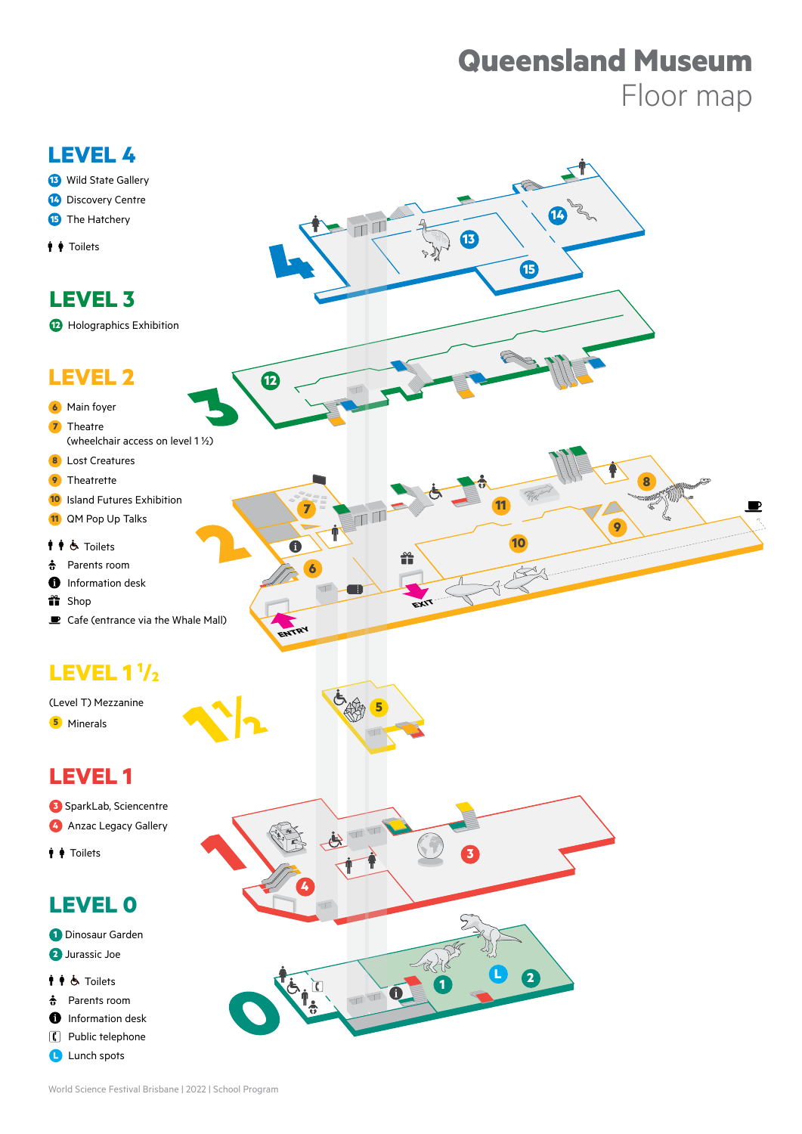# **Queensland Museum** Floor map